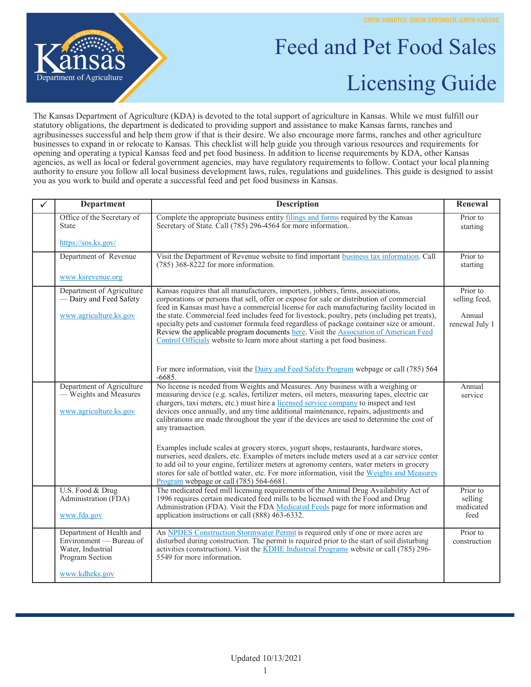

## Feed and Pet Food Sales Licensing Guide

The Kansas Department of Agriculture (KDA) is devoted to the total support of agriculture in Kansas. While we must fulfill our statutory obligations, the department is dedicated to providing support and assistance to make Kansas farms, ranches and agribusinesses successful and help them grow if that is their desire. We also encourage more farms, ranches and other agriculture businesses to expand in or relocate to Kansas. This checklist will help guide you through various resources and requirements for opening and operating a typical Kansas feed and pet food business. In addition to license requirements by KDA, other Kansas agencies, as well as local or federal government agencies, may have regulatory requirements to follow. Contact your local planning authority to ensure you follow all local business development laws, rules, regulations and guidelines. This guide is designed to assist you as you work to build and operate a successful feed and pet food business in Kansas.

| <b>Department</b>                                                                                             | <b>Description</b>                                                                                                                                                                                                                                                                                                                                                                                                                                                                                                                                                                                                                            | Renewal                                               |
|---------------------------------------------------------------------------------------------------------------|-----------------------------------------------------------------------------------------------------------------------------------------------------------------------------------------------------------------------------------------------------------------------------------------------------------------------------------------------------------------------------------------------------------------------------------------------------------------------------------------------------------------------------------------------------------------------------------------------------------------------------------------------|-------------------------------------------------------|
| Office of the Secretary of<br><b>State</b>                                                                    | Complete the appropriate business entity filings and forms required by the Kansas<br>Secretary of State. Call (785) 296-4564 for more information.                                                                                                                                                                                                                                                                                                                                                                                                                                                                                            | Prior to<br>starting                                  |
| https://sos.ks.gov/                                                                                           |                                                                                                                                                                                                                                                                                                                                                                                                                                                                                                                                                                                                                                               |                                                       |
| Department of Revenue                                                                                         | Visit the Department of Revenue website to find important business tax information. Call<br>$(785)$ 368-8222 for more information.                                                                                                                                                                                                                                                                                                                                                                                                                                                                                                            | Prior to<br>starting                                  |
| www.ksrevenue.org                                                                                             |                                                                                                                                                                                                                                                                                                                                                                                                                                                                                                                                                                                                                                               |                                                       |
| Department of Agriculture<br>-Dairy and Feed Safety<br>www.agriculture.ks.gov                                 | Kansas requires that all manufacturers, importers, jobbers, firms, associations,<br>corporations or persons that sell, offer or expose for sale or distribution of commercial<br>feed in Kansas must have a commercial license for each manufacturing facility located in<br>the state. Commercial feed includes feed for livestock, poultry, pets (including pet treats),<br>specialty pets and customer formula feed regardless of package container size or amount.<br>Review the applicable program documents here. Visit the Association of American Feed<br>Control Officials website to learn more about starting a pet food business. | Prior to<br>selling feed,<br>Annual<br>renewal July 1 |
|                                                                                                               | For more information, visit the Dairy and Feed Safety Program webpage or call (785) 564<br>$-6685.$                                                                                                                                                                                                                                                                                                                                                                                                                                                                                                                                           |                                                       |
| Department of Agriculture<br>- Weights and Measures<br>www.agriculture.ks.gov                                 | No license is needed from Weights and Measures. Any business with a weighing or<br>measuring device (e.g. scales, fertilizer meters, oil meters, measuring tapes, electric car<br>chargers, taxi meters, etc.) must hire a licensed service company to inspect and test<br>devices once annually, and any time additional maintenance, repairs, adjustments and<br>calibrations are made throughout the year if the devices are used to determine the cost of<br>any transaction.                                                                                                                                                             | Annual<br>service                                     |
|                                                                                                               | Examples include scales at grocery stores, yogurt shops, restaurants, hardware stores,<br>nurseries, seed dealers, etc. Examples of meters include meters used at a car service center<br>to add oil to your engine, fertilizer meters at agronomy centers, water meters in grocery<br>stores for sale of bottled water, etc. For more information, visit the Weights and Measures<br>Program webpage or call (785) 564-6681.                                                                                                                                                                                                                 |                                                       |
| U.S. Food & Drug<br>Administration (FDA)<br>www.fda.gov                                                       | The medicated feed mill licensing requirements of the Animal Drug Availability Act of<br>1996 requires certain medicated feed mills to be licensed with the Food and Drug<br>Administration (FDA). Visit the FDA Medicated Feeds page for more information and<br>application instructions or call (888) 463-6332.                                                                                                                                                                                                                                                                                                                            | Prior to<br>selling<br>medicated<br>feed              |
| Department of Health and<br>Environment — Bureau of<br>Water, Industrial<br>Program Section<br>www.kdheks.gov | An NPDES Construction Stormwater Permit is required only if one or more acres are<br>disturbed during construction. The permit is required prior to the start of soil disturbing<br>activities (construction). Visit the KDHE Industrial Programs website or call (785) 296-<br>5549 for more information.                                                                                                                                                                                                                                                                                                                                    | Prior to<br>construction                              |